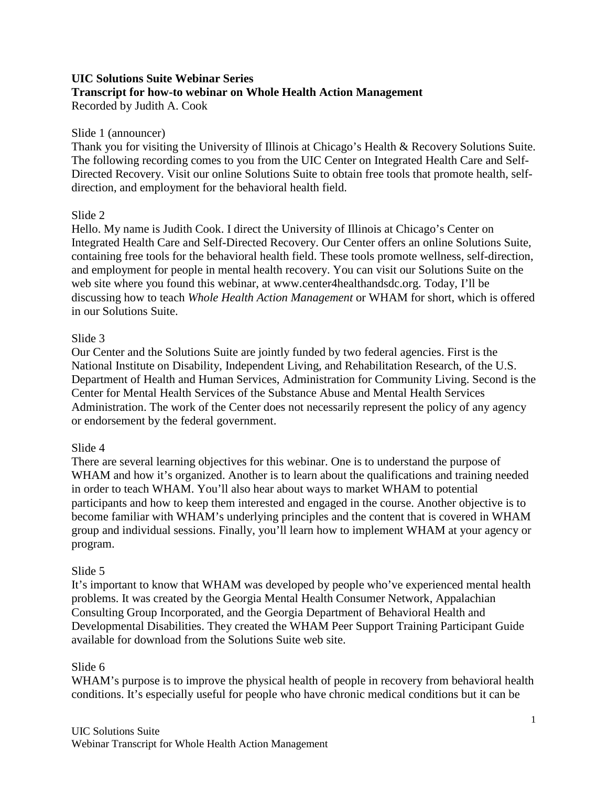#### **UIC Solutions Suite Webinar Series Transcript for how-to webinar on Whole Health Action Management** Recorded by Judith A. Cook

#### Slide 1 (announcer)

Thank you for visiting the University of Illinois at Chicago's Health & Recovery Solutions Suite. The following recording comes to you from the UIC Center on Integrated Health Care and Self-Directed Recovery. Visit our online Solutions Suite to obtain free tools that promote health, selfdirection, and employment for the behavioral health field.

#### Slide 2

Hello. My name is Judith Cook. I direct the University of Illinois at Chicago's Center on Integrated Health Care and Self-Directed Recovery. Our Center offers an online Solutions Suite, containing free tools for the behavioral health field. These tools promote wellness, self-direction, and employment for people in mental health recovery. You can visit our Solutions Suite on the web site where you found this webinar, at www.center4healthandsdc.org. Today, I'll be discussing how to teach *Whole Health Action Management* or WHAM for short, which is offered in our Solutions Suite.

#### Slide 3

Our Center and the Solutions Suite are jointly funded by two federal agencies. First is the National Institute on Disability, Independent Living, and Rehabilitation Research, of the U.S. Department of Health and Human Services, Administration for Community Living. Second is the Center for Mental Health Services of the Substance Abuse and Mental Health Services Administration. The work of the Center does not necessarily represent the policy of any agency or endorsement by the federal government.

#### Slide 4

There are several learning objectives for this webinar. One is to understand the purpose of WHAM and how it's organized. Another is to learn about the qualifications and training needed in order to teach WHAM. You'll also hear about ways to market WHAM to potential participants and how to keep them interested and engaged in the course. Another objective is to become familiar with WHAM's underlying principles and the content that is covered in WHAM group and individual sessions. Finally, you'll learn how to implement WHAM at your agency or program.

#### Slide 5

It's important to know that WHAM was developed by people who've experienced mental health problems. It was created by the Georgia Mental Health Consumer Network, Appalachian Consulting Group Incorporated, and the Georgia Department of Behavioral Health and Developmental Disabilities. They created the WHAM Peer Support Training Participant Guide available for download from the Solutions Suite web site.

#### Slide 6

WHAM's purpose is to improve the physical health of people in recovery from behavioral health conditions. It's especially useful for people who have chronic medical conditions but it can be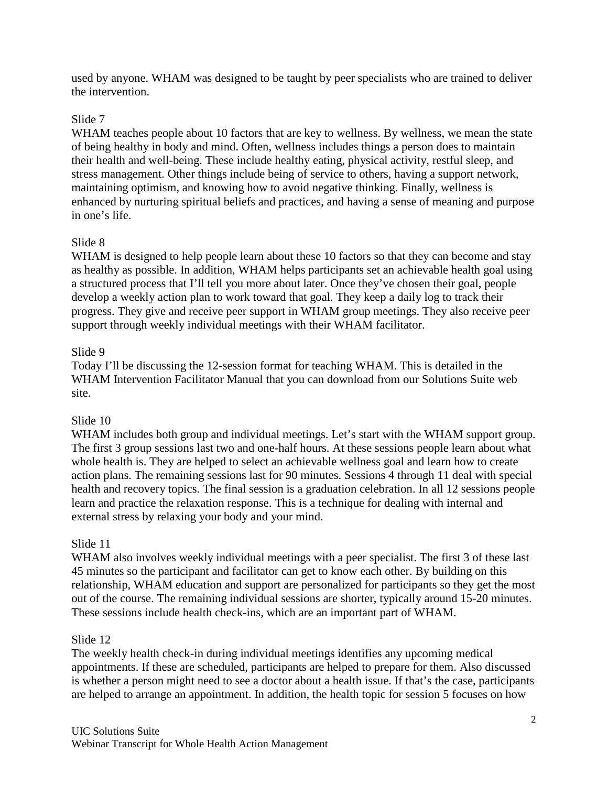used by anyone. WHAM was designed to be taught by peer specialists who are trained to deliver the intervention.

# Slide 7

WHAM teaches people about 10 factors that are key to wellness. By wellness, we mean the state of being healthy in body and mind. Often, wellness includes things a person does to maintain their health and well-being. These include healthy eating, physical activity, restful sleep, and stress management. Other things include being of service to others, having a support network, maintaining optimism, and knowing how to avoid negative thinking. Finally, wellness is enhanced by nurturing spiritual beliefs and practices, and having a sense of meaning and purpose in one's life.

# Slide 8

WHAM is designed to help people learn about these 10 factors so that they can become and stay as healthy as possible. In addition, WHAM helps participants set an achievable health goal using a structured process that I'll tell you more about later. Once they've chosen their goal, people develop a weekly action plan to work toward that goal. They keep a daily log to track their progress. They give and receive peer support in WHAM group meetings. They also receive peer support through weekly individual meetings with their WHAM facilitator.

### Slide 9

Today I'll be discussing the 12-session format for teaching WHAM. This is detailed in the WHAM Intervention Facilitator Manual that you can download from our Solutions Suite web site.

# Slide 10

WHAM includes both group and individual meetings. Let's start with the WHAM support group. The first 3 group sessions last two and one-half hours. At these sessions people learn about what whole health is. They are helped to select an achievable wellness goal and learn how to create action plans. The remaining sessions last for 90 minutes. Sessions 4 through 11 deal with special health and recovery topics. The final session is a graduation celebration. In all 12 sessions people learn and practice the relaxation response. This is a technique for dealing with internal and external stress by relaxing your body and your mind.

### Slide 11

WHAM also involves weekly individual meetings with a peer specialist. The first 3 of these last 45 minutes so the participant and facilitator can get to know each other. By building on this relationship, WHAM education and support are personalized for participants so they get the most out of the course. The remaining individual sessions are shorter, typically around 15-20 minutes. These sessions include health check-ins, which are an important part of WHAM.

### Slide 12

The weekly health check-in during individual meetings identifies any upcoming medical appointments. If these are scheduled, participants are helped to prepare for them. Also discussed is whether a person might need to see a doctor about a health issue. If that's the case, participants are helped to arrange an appointment. In addition, the health topic for session 5 focuses on how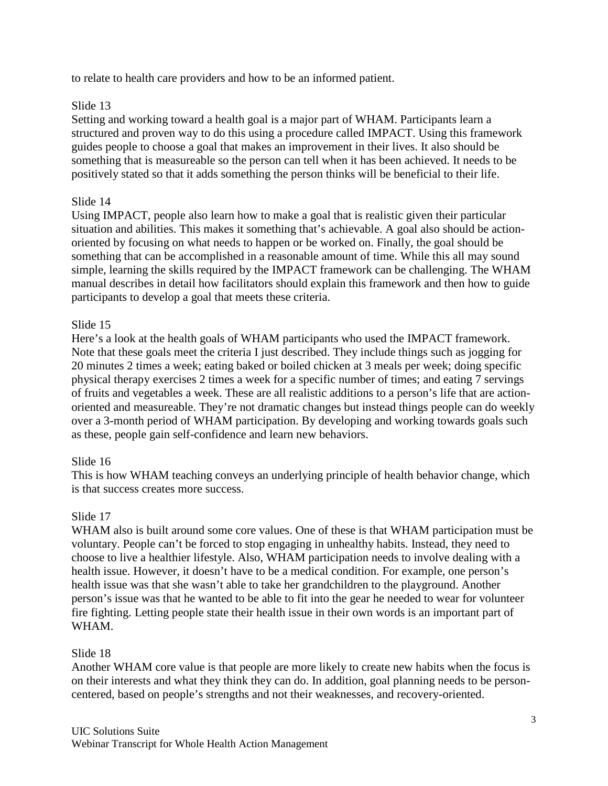to relate to health care providers and how to be an informed patient.

### Slide 13

Setting and working toward a health goal is a major part of WHAM. Participants learn a structured and proven way to do this using a procedure called IMPACT. Using this framework guides people to choose a goal that makes an improvement in their lives. It also should be something that is measureable so the person can tell when it has been achieved. It needs to be positively stated so that it adds something the person thinks will be beneficial to their life.

# Slide 14

Using IMPACT, people also learn how to make a goal that is realistic given their particular situation and abilities. This makes it something that's achievable. A goal also should be actionoriented by focusing on what needs to happen or be worked on. Finally, the goal should be something that can be accomplished in a reasonable amount of time. While this all may sound simple, learning the skills required by the IMPACT framework can be challenging. The WHAM manual describes in detail how facilitators should explain this framework and then how to guide participants to develop a goal that meets these criteria.

### Slide 15

Here's a look at the health goals of WHAM participants who used the IMPACT framework. Note that these goals meet the criteria I just described. They include things such as jogging for 20 minutes 2 times a week; eating baked or boiled chicken at 3 meals per week; doing specific physical therapy exercises 2 times a week for a specific number of times; and eating 7 servings of fruits and vegetables a week. These are all realistic additions to a person's life that are actionoriented and measureable. They're not dramatic changes but instead things people can do weekly over a 3-month period of WHAM participation. By developing and working towards goals such as these, people gain self-confidence and learn new behaviors.

### Slide 16

This is how WHAM teaching conveys an underlying principle of health behavior change, which is that success creates more success.

### Slide 17

WHAM also is built around some core values. One of these is that WHAM participation must be voluntary. People can't be forced to stop engaging in unhealthy habits. Instead, they need to choose to live a healthier lifestyle. Also, WHAM participation needs to involve dealing with a health issue. However, it doesn't have to be a medical condition. For example, one person's health issue was that she wasn't able to take her grandchildren to the playground. Another person's issue was that he wanted to be able to fit into the gear he needed to wear for volunteer fire fighting. Letting people state their health issue in their own words is an important part of WHAM.

### Slide 18

Another WHAM core value is that people are more likely to create new habits when the focus is on their interests and what they think they can do. In addition, goal planning needs to be personcentered, based on people's strengths and not their weaknesses, and recovery-oriented.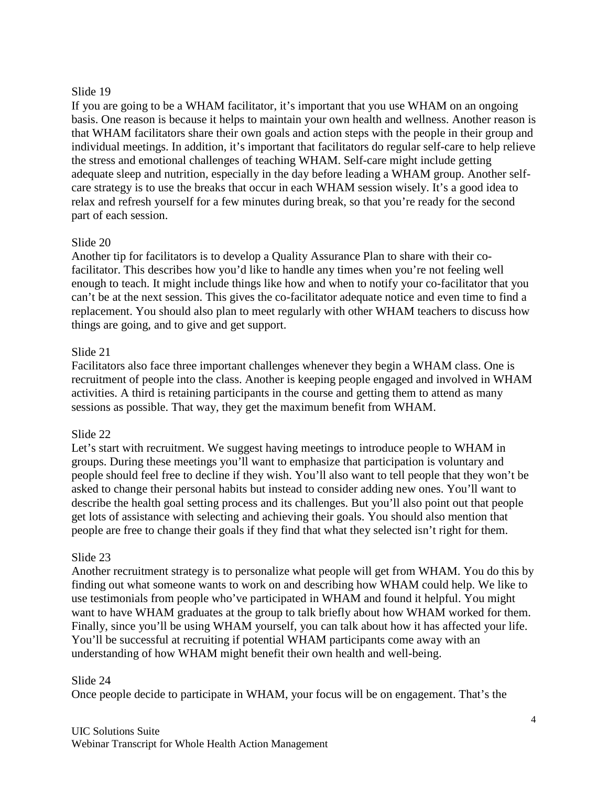### Slide 19

If you are going to be a WHAM facilitator, it's important that you use WHAM on an ongoing basis. One reason is because it helps to maintain your own health and wellness. Another reason is that WHAM facilitators share their own goals and action steps with the people in their group and individual meetings. In addition, it's important that facilitators do regular self-care to help relieve the stress and emotional challenges of teaching WHAM. Self-care might include getting adequate sleep and nutrition, especially in the day before leading a WHAM group. Another selfcare strategy is to use the breaks that occur in each WHAM session wisely. It's a good idea to relax and refresh yourself for a few minutes during break, so that you're ready for the second part of each session.

# Slide 20

Another tip for facilitators is to develop a Quality Assurance Plan to share with their cofacilitator. This describes how you'd like to handle any times when you're not feeling well enough to teach. It might include things like how and when to notify your co-facilitator that you can't be at the next session. This gives the co-facilitator adequate notice and even time to find a replacement. You should also plan to meet regularly with other WHAM teachers to discuss how things are going, and to give and get support.

# Slide 21

Facilitators also face three important challenges whenever they begin a WHAM class. One is recruitment of people into the class. Another is keeping people engaged and involved in WHAM activities. A third is retaining participants in the course and getting them to attend as many sessions as possible. That way, they get the maximum benefit from WHAM.

# Slide 22

Let's start with recruitment. We suggest having meetings to introduce people to WHAM in groups. During these meetings you'll want to emphasize that participation is voluntary and people should feel free to decline if they wish. You'll also want to tell people that they won't be asked to change their personal habits but instead to consider adding new ones. You'll want to describe the health goal setting process and its challenges. But you'll also point out that people get lots of assistance with selecting and achieving their goals. You should also mention that people are free to change their goals if they find that what they selected isn't right for them.

# Slide 23

Another recruitment strategy is to personalize what people will get from WHAM. You do this by finding out what someone wants to work on and describing how WHAM could help. We like to use testimonials from people who've participated in WHAM and found it helpful. You might want to have WHAM graduates at the group to talk briefly about how WHAM worked for them. Finally, since you'll be using WHAM yourself, you can talk about how it has affected your life. You'll be successful at recruiting if potential WHAM participants come away with an understanding of how WHAM might benefit their own health and well-being.

### Slide 24

Once people decide to participate in WHAM, your focus will be on engagement. That's the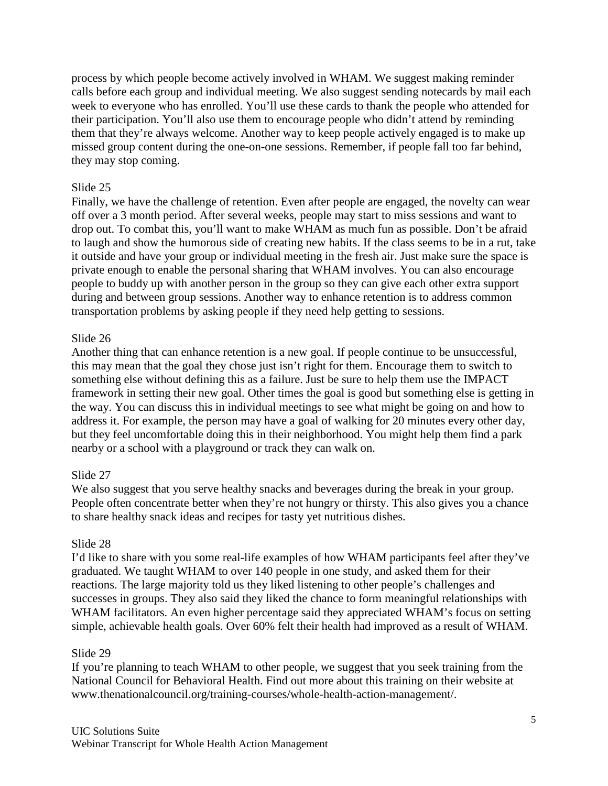process by which people become actively involved in WHAM. We suggest making reminder calls before each group and individual meeting. We also suggest sending notecards by mail each week to everyone who has enrolled. You'll use these cards to thank the people who attended for their participation. You'll also use them to encourage people who didn't attend by reminding them that they're always welcome. Another way to keep people actively engaged is to make up missed group content during the one-on-one sessions. Remember, if people fall too far behind, they may stop coming.

### Slide 25

Finally, we have the challenge of retention. Even after people are engaged, the novelty can wear off over a 3 month period. After several weeks, people may start to miss sessions and want to drop out. To combat this, you'll want to make WHAM as much fun as possible. Don't be afraid to laugh and show the humorous side of creating new habits. If the class seems to be in a rut, take it outside and have your group or individual meeting in the fresh air. Just make sure the space is private enough to enable the personal sharing that WHAM involves. You can also encourage people to buddy up with another person in the group so they can give each other extra support during and between group sessions. Another way to enhance retention is to address common transportation problems by asking people if they need help getting to sessions.

# Slide 26

Another thing that can enhance retention is a new goal. If people continue to be unsuccessful, this may mean that the goal they chose just isn't right for them. Encourage them to switch to something else without defining this as a failure. Just be sure to help them use the IMPACT framework in setting their new goal. Other times the goal is good but something else is getting in the way. You can discuss this in individual meetings to see what might be going on and how to address it. For example, the person may have a goal of walking for 20 minutes every other day, but they feel uncomfortable doing this in their neighborhood. You might help them find a park nearby or a school with a playground or track they can walk on.

# Slide 27

We also suggest that you serve healthy snacks and beverages during the break in your group. People often concentrate better when they're not hungry or thirsty. This also gives you a chance to share healthy snack ideas and recipes for tasty yet nutritious dishes.

### Slide 28

I'd like to share with you some real-life examples of how WHAM participants feel after they've graduated. We taught WHAM to over 140 people in one study, and asked them for their reactions. The large majority told us they liked listening to other people's challenges and successes in groups. They also said they liked the chance to form meaningful relationships with WHAM facilitators. An even higher percentage said they appreciated WHAM's focus on setting simple, achievable health goals. Over 60% felt their health had improved as a result of WHAM.

### Slide 29

If you're planning to teach WHAM to other people, we suggest that you seek training from the National Council for Behavioral Health. Find out more about this training on their website at www.thenationalcouncil.org/training-courses/whole-health-action-management/.